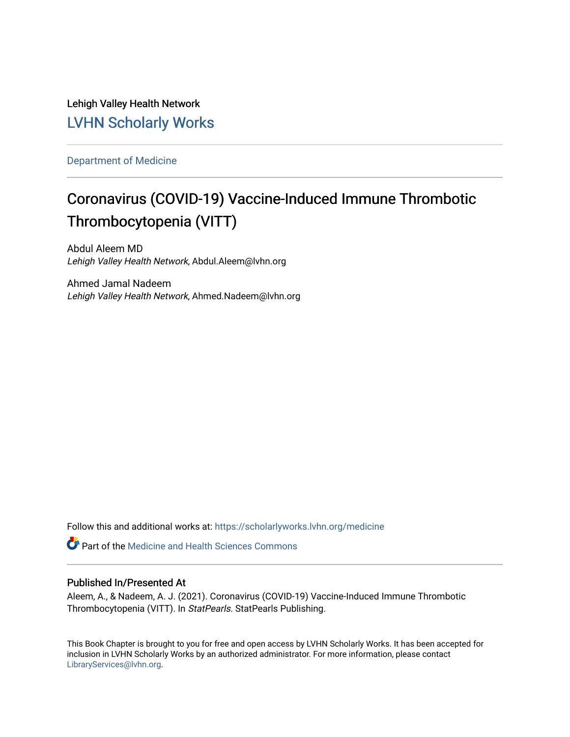Lehigh Valley Health Network [LVHN Scholarly Works](https://scholarlyworks.lvhn.org/)

[Department of Medicine](https://scholarlyworks.lvhn.org/medicine) 

# Coronavirus (COVID-19) Vaccine-Induced Immune Thrombotic Thrombocytopenia (VITT)

Abdul Aleem MD Lehigh Valley Health Network, Abdul.Aleem@lvhn.org

Ahmed Jamal Nadeem Lehigh Valley Health Network, Ahmed.Nadeem@lvhn.org

Follow this and additional works at: [https://scholarlyworks.lvhn.org/medicine](https://scholarlyworks.lvhn.org/medicine?utm_source=scholarlyworks.lvhn.org%2Fmedicine%2F2031&utm_medium=PDF&utm_campaign=PDFCoverPages) 

**C** Part of the Medicine and Health Sciences Commons

# Published In/Presented At

Aleem, A., & Nadeem, A. J. (2021). Coronavirus (COVID-19) Vaccine-Induced Immune Thrombotic Thrombocytopenia (VITT). In StatPearls. StatPearls Publishing.

This Book Chapter is brought to you for free and open access by LVHN Scholarly Works. It has been accepted for inclusion in LVHN Scholarly Works by an authorized administrator. For more information, please contact [LibraryServices@lvhn.org](mailto:LibraryServices@lvhn.org).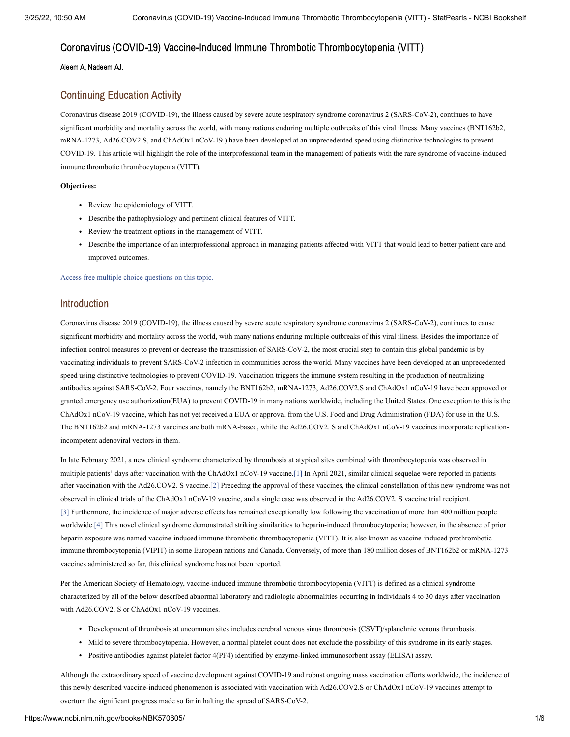# Coronavirus (COVID-19) Vaccine-Induced Immune Thrombotic Thrombocytopenia (VITT)

Aleem A, Nadeem AJ.

### Continuing Education Activity

Coronavirus disease 2019 (COVID-19), the illness caused by severe acute respiratory syndrome coronavirus 2 (SARS-CoV-2), continues to have significant morbidity and mortality across the world, with many nations enduring multiple outbreaks of this viral illness. Many vaccines (BNT162b2, mRNA-1273, Ad26.COV2.S, and ChAdOx1 nCoV-19 ) have been developed at an unprecedented speed using distinctive technologies to prevent COVID-19. This article will highlight the role of the interprofessional team in the management of patients with the rare syndrome of vaccine-induced immune thrombotic thrombocytopenia (VITT).

#### **Objectives:**

- Review the epidemiology of VITT.
- Describe the pathophysiology and pertinent clinical features of VITT.
- Review the treatment options in the management of VITT.
- Describe the importance of an interprofessional approach in managing patients affected with VITT that would lead to better patient care and improved outcomes.

Access free multiple choice [questions](https://www.statpearls.com/account/trialuserreg/?articleid=133545&utm_source=pubmed&utm_campaign=reviews&utm_content=133545) on this topic.

### Introduction

Coronavirus disease 2019 (COVID-19), the illness caused by severe acute respiratory syndrome coronavirus 2 (SARS-CoV-2), continues to cause significant morbidity and mortality across the world, with many nations enduring multiple outbreaks of this viral illness. Besides the importance of infection control measures to prevent or decrease the transmission of SARS-CoV-2, the most crucial step to contain this global pandemic is by vaccinating individuals to prevent SARS-CoV-2 infection in communities across the world. Many vaccines have been developed at an unprecedented speed using distinctive technologies to prevent COVID-19. Vaccination triggers the immune system resulting in the production of neutralizing antibodies against SARS-CoV-2. Four vaccines, namely the BNT162b2, mRNA-1273, Ad26.COV2.S and ChAdOx1 nCoV-19 have been approved or granted emergency use authorization(EUA) to prevent COVID-19 in many nations worldwide, including the United States. One exception to this is the ChAdOx1 nCoV-19 vaccine, which has not yet received a EUA or approval from the U.S. Food and Drug Administration (FDA) for use in the U.S. The BNT162b2 and mRNA-1273 vaccines are both mRNA-based, while the Ad26.COV2. S and ChAdOx1 nCoV-19 vaccines incorporate replicationincompetent adenoviral vectors in them.

In late February 2021, a new clinical syndrome characterized by thrombosis at atypical sites combined with thrombocytopenia was observed in multiple patients' days after vaccination with the ChAdOx1 nCoV-19 vaccine.[\[1\]](#page-5-0) In April 2021, similar clinical sequelae were reported in patients after vaccination with the Ad26.COV2. S vaccine.[\[2\]](#page-5-1) Preceding the approval of these vaccines, the clinical constellation of this new syndrome was not observed in clinical trials of the ChAdOx1 nCoV-19 vaccine, and a single case was observed in the Ad26.COV2. S vaccine trial recipient. [\[3\]](#page-5-2) Furthermore, the incidence of major adverse effects has remained exceptionally low following the vaccination of more than 400 million people worldwide[.\[4\]](#page-5-3) This novel clinical syndrome demonstrated striking similarities to heparin-induced thrombocytopenia; however, in the absence of prior heparin exposure was named vaccine-induced immune thrombotic thrombocytopenia (VITT). It is also known as vaccine-induced prothrombotic immune thrombocytopenia (VIPIT) in some European nations and Canada. Conversely, of more than 180 million doses of BNT162b2 or mRNA-1273 vaccines administered so far, this clinical syndrome has not been reported.

Per the American Society of Hematology, vaccine-induced immune thrombotic thrombocytopenia (VITT) is defined as a clinical syndrome characterized by all of the below described abnormal laboratory and radiologic abnormalities occurring in individuals 4 to 30 days after vaccination with Ad26.COV2. S or ChAdOx1 nCoV-19 vaccines.

- Development of thrombosis at uncommon sites includes cerebral venous sinus thrombosis (CSVT)/splanchnic venous thrombosis.
- Mild to severe thrombocytopenia. However, a normal platelet count does not exclude the possibility of this syndrome in its early stages.
- Positive antibodies against platelet factor 4(PF4) identified by enzyme-linked immunosorbent assay (ELISA) assay.

Although the extraordinary speed of vaccine development against COVID-19 and robust ongoing mass vaccination efforts worldwide, the incidence of this newly described vaccine-induced phenomenon is associated with vaccination with Ad26.COV2.S or ChAdOx1 nCoV-19 vaccines attempt to overturn the significant progress made so far in halting the spread of SARS-CoV-2.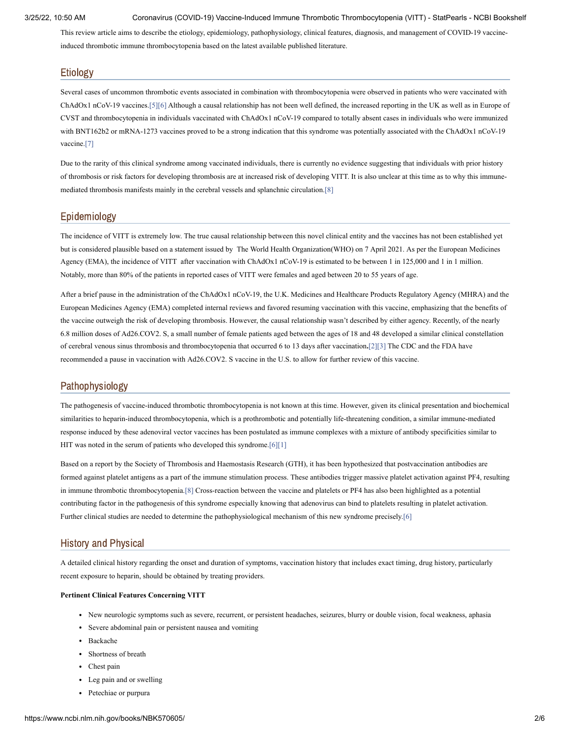3/25/22, 10:50 AM Coronavirus (COVID-19) Vaccine-Induced Immune Thrombotic Thrombocytopenia (VITT) - StatPearls - NCBI Bookshelf

This review article aims to describe the etiology, epidemiology, pathophysiology, clinical features, diagnosis, and management of COVID-19 vaccineinduced thrombotic immune thrombocytopenia based on the latest available published literature.

# Etiology

Several cases of uncommon thrombotic events associated in combination with thrombocytopenia were observed in patients who were vaccinated with ChAdOx1 nCoV-19 vaccines[.\[5\]](#page-5-4)[\[6\]](#page-5-5) Although a causal relationship has not been well defined, the increased reporting in the UK as well as in Europe of CVST and thrombocytopenia in individuals vaccinated with ChAdOx1 nCoV-19 compared to totally absent cases in individuals who were immunized with BNT162b2 or mRNA-1273 vaccines proved to be a strong indication that this syndrome was potentially associated with the ChAdOx1 nCoV-19 vaccine[.\[7\]](#page-5-6)

Due to the rarity of this clinical syndrome among vaccinated individuals, there is currently no evidence suggesting that individuals with prior history of thrombosis or risk factors for developing thrombosis are at increased risk of developing VITT. It is also unclear at this time as to why this immunemediated thrombosis manifests mainly in the cerebral vessels and splanchnic circulation.[\[8\]](#page-5-7)

# Epidemiology

The incidence of VITT is extremely low. The true causal relationship between this novel clinical entity and the vaccines has not been established yet but is considered plausible based on a statement issued by The World Health Organization(WHO) on 7 April 2021. As per the European Medicines Agency (EMA), the incidence of VITT after vaccination with ChAdOx1 nCoV-19 is estimated to be between 1 in 125,000 and 1 in 1 million. Notably, more than 80% of the patients in reported cases of VITT were females and aged between 20 to 55 years of age.

After a brief pause in the administration of the ChAdOx1 nCoV-19, the U.K. Medicines and Healthcare Products Regulatory Agency (MHRA) and the European Medicines Agency (EMA) completed internal reviews and favored resuming vaccination with this vaccine, emphasizing that the benefits of the vaccine outweigh the risk of developing thrombosis. However, the causal relationship wasn't described by either agency. Recently, of the nearly 6.8 million doses of Ad26.COV2. S, a small number of female patients aged between the ages of 18 and 48 developed a similar clinical constellation of cerebral venous sinus thrombosis and thrombocytopenia that occurred 6 to 13 days after vaccination**.**[\[2\]](#page-5-1)[\[3\]](#page-5-2) The CDC and the FDA have recommended a pause in vaccination with Ad26.COV2. S vaccine in the U.S. to allow for further review of this vaccine.

# Pathophysiology

The pathogenesis of vaccine-induced thrombotic thrombocytopenia is not known at this time. However, given its clinical presentation and biochemical similarities to heparin-induced thrombocytopenia, which is a prothrombotic and potentially life-threatening condition, a similar immune-mediated response induced by these adenoviral vector vaccines has been postulated as immune complexes with a mixture of antibody specificities similar to HIT was noted in the serum of patients who developed this syndrome[.\[6\]](#page-5-5)[\[1\]](#page-5-0)

Based on a report by the Society of Thrombosis and Haemostasis Research (GTH), it has been hypothesized that postvaccination antibodies are formed against platelet antigens as a part of the immune stimulation process. These antibodies trigger massive platelet activation against PF4, resulting in immune thrombotic thrombocytopenia[.\[8\]](#page-5-7) Cross-reaction between the vaccine and platelets or PF4 has also been highlighted as a potential contributing factor in the pathogenesis of this syndrome especially knowing that adenovirus can bind to platelets resulting in platelet activation. Further clinical studies are needed to determine the pathophysiological mechanism of this new syndrome precisely[.\[6\]](#page-5-5)

# History and Physical

A detailed clinical history regarding the onset and duration of symptoms, vaccination history that includes exact timing, drug history, particularly recent exposure to heparin, should be obtained by treating providers.

#### **Pertinent Clinical Features Concerning VITT**

- New neurologic symptoms such as severe, recurrent, or persistent headaches, seizures, blurry or double vision, focal weakness, aphasia
- Severe abdominal pain or persistent nausea and vomiting
- Backache
- Shortness of breath
- Chest pain
- Leg pain and or swelling
- Petechiae or purpura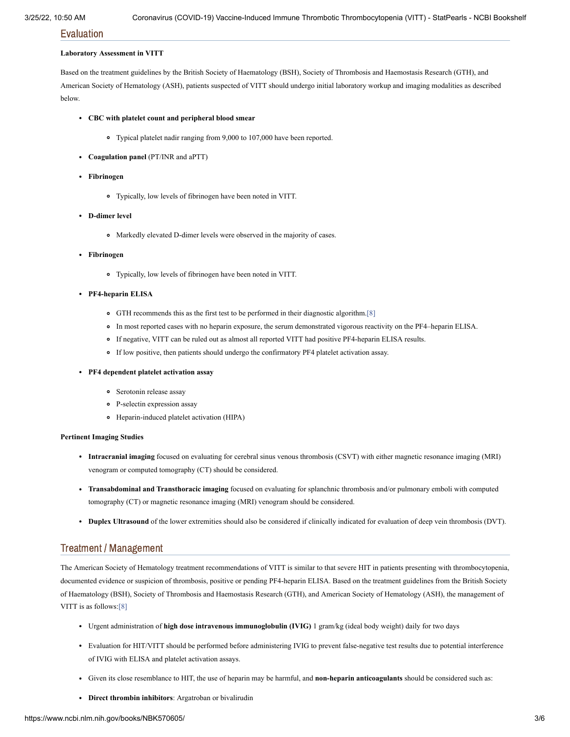Evaluation

#### **Laboratory Assessment in VITT**

Based on the treatment guidelines by the British Society of Haematology (BSH), Society of Thrombosis and Haemostasis Research (GTH), and American Society of Hematology (ASH), patients suspected of VITT should undergo initial laboratory workup and imaging modalities as described below.

#### **CBC with platelet count and peripheral blood smear**

- Typical platelet nadir ranging from 9,000 to 107,000 have been reported.
- **Coagulation panel** (PT/INR and aPTT)
- **Fibrinogen**
	- Typically, low levels of fibrinogen have been noted in VITT.
- **D-dimer level**
	- Markedly elevated D-dimer levels were observed in the majority of cases.
- **Fibrinogen**
	- Typically, low levels of fibrinogen have been noted in VITT.
- **PF4-heparin ELISA**
	- GTH recommends this as the first test to be performed in their diagnostic algorithm[.\[8\]](#page-5-7)
	- In most reported cases with no heparin exposure, the serum demonstrated vigorous reactivity on the PF4–heparin ELISA.
	- If negative, VITT can be ruled out as almost all reported VITT had positive PF4-heparin ELISA results.
	- If low positive, then patients should undergo the confirmatory PF4 platelet activation assay.
- **PF4 dependent platelet activation assay**
	- **•** Serotonin release assay
	- P-selectin expression assay
	- Heparin-induced platelet activation (HIPA)

#### **Pertinent Imaging Studies**

- **Intracranial imaging** focused on evaluating for cerebral sinus venous thrombosis (CSVT) with either magnetic resonance imaging (MRI) venogram or computed tomography (CT) should be considered.
- **Transabdominal and Transthoracic imaging** focused on evaluating for splanchnic thrombosis and/or pulmonary emboli with computed tomography (CT) or magnetic resonance imaging (MRI) venogram should be considered.
- **Duplex Ultrasound** of the lower extremities should also be considered if clinically indicated for evaluation of deep vein thrombosis (DVT).

### Treatment / Management

The American Society of Hematology treatment recommendations of VITT is similar to that severe HIT in patients presenting with thrombocytopenia, documented evidence or suspicion of thrombosis, positive or pending PF4-heparin ELISA. Based on the treatment guidelines from the British Society of Haematology (BSH), Society of Thrombosis and Haemostasis Research (GTH), and American Society of Hematology (ASH), the management of VITT is as follows[:\[8\]](#page-5-7)

- Urgent administration of **high dose intravenous immunoglobulin (IVIG)** 1 gram/kg (ideal body weight) daily for two days
- Evaluation for HIT/VITT should be performed before administering IVIG to prevent false-negative test results due to potential interference of IVIG with ELISA and platelet activation assays.
- Given its close resemblance to HIT, the use of heparin may be harmful, and **non-heparin anticoagulants** should be considered such as:
- **Direct thrombin inhibitors**: Argatroban or bivalirudin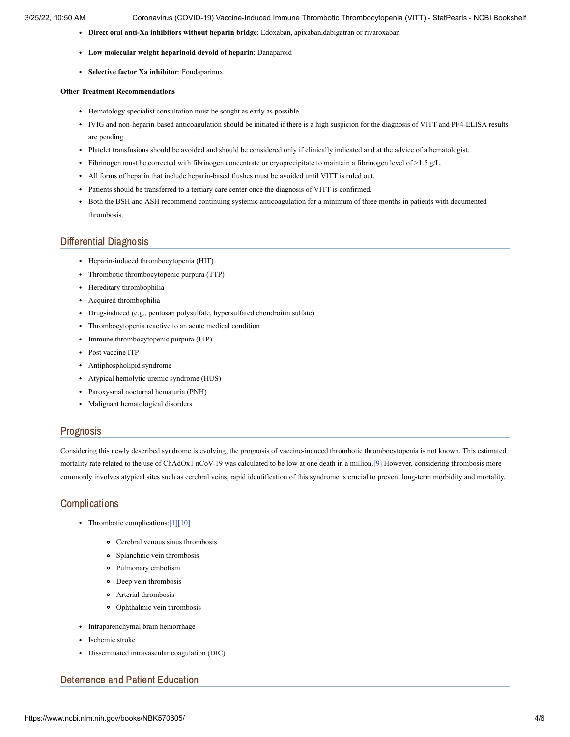- **Direct oral anti-Xa inhibitors without heparin bridge**: Edoxaban, apixaban,dabigatran or rivaroxaban
- **Low molecular weight heparinoid devoid of heparin**: Danaparoid
- **Selective factor Xa inhibitor**: Fondaparinux

#### **Other Treatment Recommendations**

- Hematology specialist consultation must be sought as early as possible.
- IVIG and non-heparin-based anticoagulation should be initiated if there is a high suspicion for the diagnosis of VITT and PF4-ELISA results are pending.
- Platelet transfusions should be avoided and should be considered only if clinically indicated and at the advice of a hematologist.
- Fibrinogen must be corrected with fibrinogen concentrate or cryoprecipitate to maintain a fibrinogen level of >1.5 g/L.
- All forms of heparin that include heparin-based flushes must be avoided until VITT is ruled out.
- Patients should be transferred to a tertiary care center once the diagnosis of VITT is confirmed.
- Both the BSH and ASH recommend continuing systemic anticoagulation for a minimum of three months in patients with documented thrombosis.

# Differential Diagnosis

- Heparin-induced thrombocytopenia (HIT)
- Thrombotic thrombocytopenic purpura (TTP)
- Hereditary thrombophilia
- Acquired thrombophilia
- Drug-induced (e.g., pentosan polysulfate, hypersulfated chondroitin sulfate)
- Thrombocytopenia reactive to an acute medical condition
- Immune thrombocytopenic purpura (ITP)
- Post vaccine ITP
- Antiphospholipid syndrome
- Atypical hemolytic uremic syndrome (HUS)
- Paroxysmal nocturnal hematuria (PNH)
- Malignant hematological disorders

#### Prognosis

Considering this newly described syndrome is evolving, the prognosis of vaccine-induced thrombotic thrombocytopenia is not known. This estimated mortality rate related to the use of ChAdOx1 nCoV-19 was calculated to be low at one death in a million[.\[9\]](#page-5-8) However, considering thrombosis more commonly involves atypical sites such as cerebral veins, rapid identification of this syndrome is crucial to prevent long-term morbidity and mortality.

### **Complications**

- Thrombotic complications:[\[1\]](#page-5-0)[\[10\]](#page-6-0)
	- Cerebral venous sinus thrombosis
	- Splanchnic vein thrombosis
	- Pulmonary embolism
	- Deep vein thrombosis
	- Arterial thrombosis
	- Ophthalmic vein thrombosis
- Intraparenchymal brain hemorrhage
- Ischemic stroke
- Disseminated intravascular coagulation (DIC)

#### Deterrence and Patient Education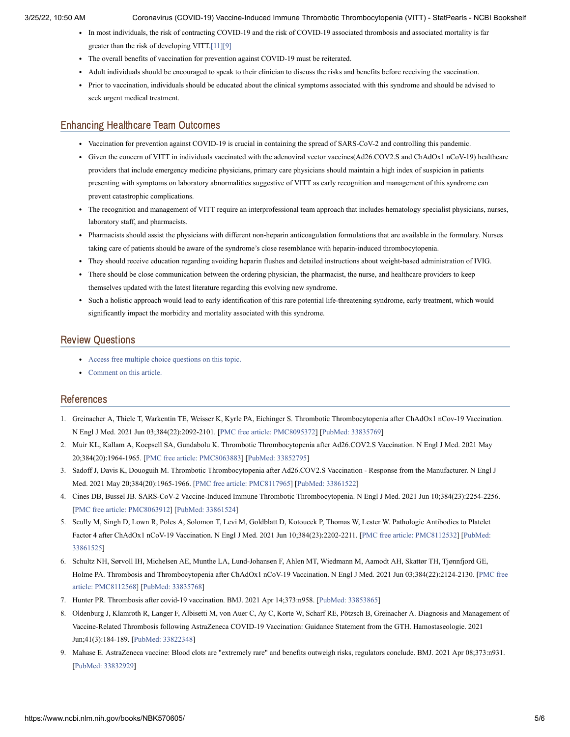- In most individuals, the risk of contracting COVID-19 and the risk of COVID-19 associated thrombosis and associated mortality is far greater than the risk of developing VITT[.\[11\]](#page-6-1)[\[9\]](#page-5-8)
- The overall benefits of vaccination for prevention against COVID-19 must be reiterated.
- Adult individuals should be encouraged to speak to their clinician to discuss the risks and benefits before receiving the vaccination.
- Prior to vaccination, individuals should be educated about the clinical symptoms associated with this syndrome and should be advised to seek urgent medical treatment.

### Enhancing Healthcare Team Outcomes

- Vaccination for prevention against COVID-19 is crucial in containing the spread of SARS-CoV-2 and controlling this pandemic.
- Given the concern of VITT in individuals vaccinated with the adenoviral vector vaccines(Ad26.COV2.S and ChAdOx1 nCoV-19) healthcare providers that include emergency medicine physicians, primary care physicians should maintain a high index of suspicion in patients presenting with symptoms on laboratory abnormalities suggestive of VITT as early recognition and management of this syndrome can prevent catastrophic complications.
- The recognition and management of VITT require an interprofessional team approach that includes hematology specialist physicians, nurses, laboratory staff, and pharmacists.
- Pharmacists should assist the physicians with different non-heparin anticoagulation formulations that are available in the formulary. Nurses taking care of patients should be aware of the syndrome's close resemblance with heparin-induced thrombocytopenia.
- They should receive education regarding avoiding heparin flushes and detailed instructions about weight-based administration of IVIG.
- There should be close communication between the ordering physician, the pharmacist, the nurse, and healthcare providers to keep themselves updated with the latest literature regarding this evolving new syndrome.
- Such a holistic approach would lead to early identification of this rare potential life-threatening syndrome, early treatment, which would significantly impact the morbidity and mortality associated with this syndrome.

#### Review Questions

- Access free multiple choice [questions](https://www.statpearls.com/account/trialuserreg/?articleid=133545&utm_source=pubmed&utm_campaign=reviews&utm_content=133545) on this topic.
- [Comment](https://www.statpearls.com/articlelibrary/commentarticle/133545/?utm_source=pubmed&utm_campaign=comments&utm_content=133545) on this article.

# References

- <span id="page-5-0"></span>1. Greinacher A, Thiele T, Warkentin TE, Weisser K, Kyrle PA, Eichinger S. Thrombotic Thrombocytopenia after ChAdOx1 nCov-19 Vaccination. N Engl J Med. 2021 Jun 03;384(22):2092-2101. [PMC free article: [PMC8095372\]](https://www.ncbi.nlm.nih.gov/pmc/articles/PMC8095372/?report=reader) [PubMed: [33835769](https://www.ncbi.nlm.nih.gov/pubmed/33835769)]
- <span id="page-5-1"></span>2. Muir KL, Kallam A, Koepsell SA, Gundabolu K. Thrombotic Thrombocytopenia after Ad26.COV2.S Vaccination. N Engl J Med. 2021 May 20;384(20):1964-1965. [PMC free article: [PMC8063883](https://www.ncbi.nlm.nih.gov/pmc/articles/PMC8063883/?report=reader)] [PubMed: [33852795\]](https://www.ncbi.nlm.nih.gov/pubmed/33852795)
- <span id="page-5-2"></span>3. Sadoff J, Davis K, Douoguih M. Thrombotic Thrombocytopenia after Ad26.COV2.S Vaccination - Response from the Manufacturer. N Engl J Med. 2021 May 20;384(20):1965-1966. [PMC free article: [PMC8117965](https://www.ncbi.nlm.nih.gov/pmc/articles/PMC8117965/?report=reader)] [PubMed: [33861522\]](https://www.ncbi.nlm.nih.gov/pubmed/33861522)
- <span id="page-5-3"></span>4. Cines DB, Bussel JB. SARS-CoV-2 Vaccine-Induced Immune Thrombotic Thrombocytopenia. N Engl J Med. 2021 Jun 10;384(23):2254-2256. [PMC free article: [PMC8063912\]](https://www.ncbi.nlm.nih.gov/pmc/articles/PMC8063912/?report=reader) [PubMed: [33861524](https://www.ncbi.nlm.nih.gov/pubmed/33861524)]
- <span id="page-5-4"></span>5. Scully M, Singh D, Lown R, Poles A, Solomon T, Levi M, Goldblatt D, Kotoucek P, Thomas W, Lester W. Pathologic Antibodies to Platelet Factor 4 after ChAdOx1 nCoV-19 Vaccination. N Engl J Med. 2021 Jun [10;384\(23\):2202-2211.](https://www.ncbi.nlm.nih.gov/pubmed/33861525) [PMC free article: [PMC8112532\]](https://www.ncbi.nlm.nih.gov/pmc/articles/PMC8112532/?report=reader) [PubMed: 33861525]
- <span id="page-5-5"></span>6. Schultz NH, Sørvoll IH, Michelsen AE, Munthe LA, Lund-Johansen F, Ahlen MT, Wiedmann M, Aamodt AH, Skattør TH, Tjønnfjord GE, Holme PA. Thrombosis and Thrombocytopenia after ChAdOx1 nCoV-19 Vaccination. N Engl J Med. 2021 Jun [03;384\(22\):2124-2130.](https://www.ncbi.nlm.nih.gov/pmc/articles/PMC8112568/?report=reader) [PMC free article: PMC8112568] [PubMed: [33835768](https://www.ncbi.nlm.nih.gov/pubmed/33835768)]
- <span id="page-5-6"></span>7. Hunter PR. Thrombosis after covid-19 vaccination. BMJ. 2021 Apr 14;373:n958. [PubMed: [33853865](https://www.ncbi.nlm.nih.gov/pubmed/33853865)]
- <span id="page-5-7"></span>8. Oldenburg J, Klamroth R, Langer F, Albisetti M, von Auer C, Ay C, Korte W, Scharf RE, Pötzsch B, Greinacher A. Diagnosis and Management of Vaccine-Related Thrombosis following AstraZeneca COVID-19 Vaccination: Guidance Statement from the GTH. Hamostaseologie. 2021 Jun;41(3):184-189. [PubMed: [33822348\]](https://www.ncbi.nlm.nih.gov/pubmed/33822348)
- <span id="page-5-8"></span>9. Mahase E. AstraZeneca vaccine: Blood clots are "extremely rare" and benefits outweigh risks, regulators conclude. BMJ. 2021 Apr 08;373:n931. [PubMed: [33832929\]](https://www.ncbi.nlm.nih.gov/pubmed/33832929)